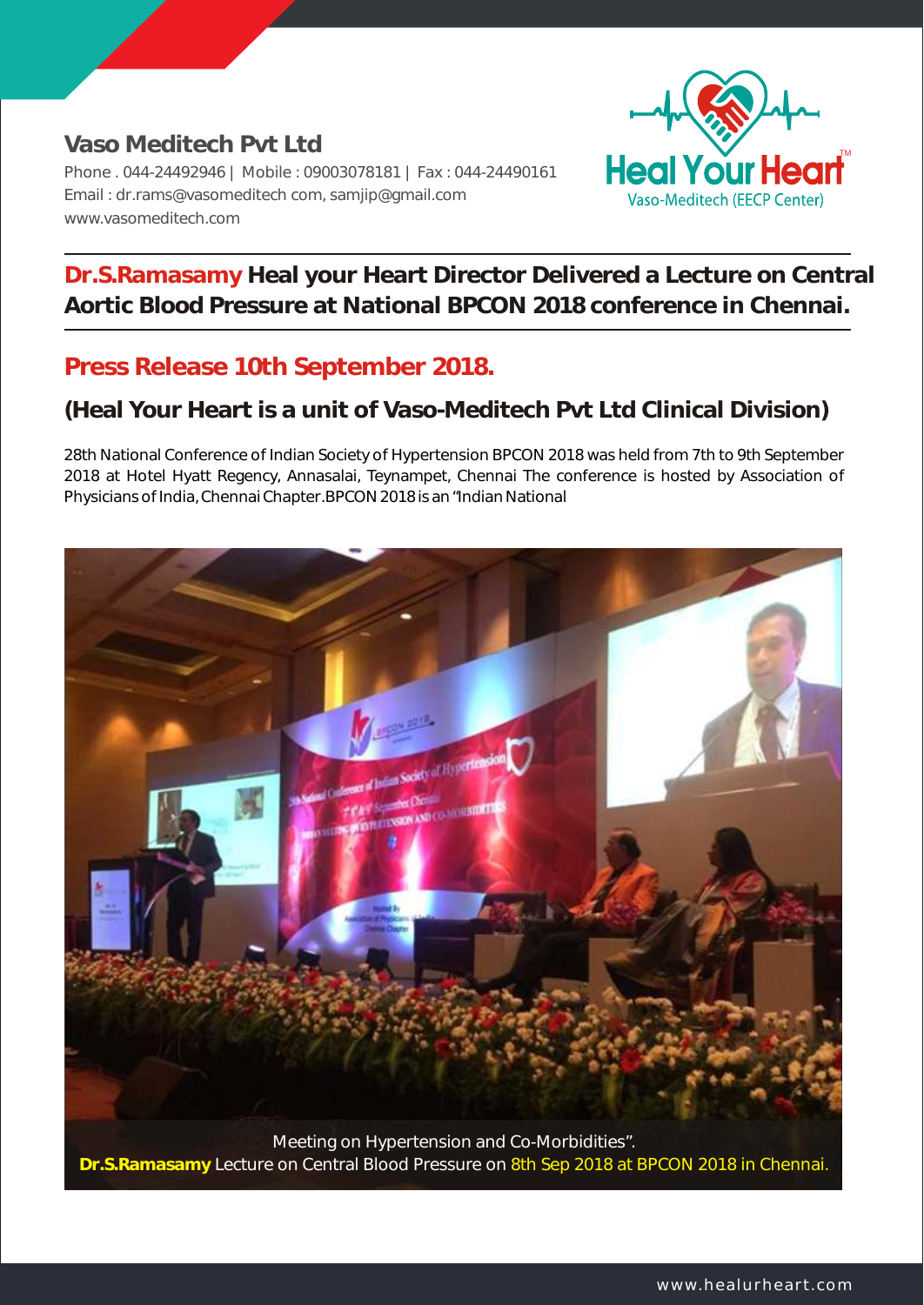**Vaso Meditech Pvt Ltd**  Phone . 044-24492946 | Mobile : 09003078181 | Fax : 044-24490161 Email : dr.rams@vasomeditech com, samjip@gmail.com www.vasomeditech.com



**Dr.S.Ramasamy Heal your Heart Director Delivered a Lecture on Central Aortic Blood Pressure at National BPCON 2018 conference in Chennai.**

## **Press Release 10th September 2018.**

## **(Heal Your Heart is a unit of Vaso-Meditech Pvt Ltd Clinical Division)**

28th National Conference of Indian Society of Hypertension BPCON 2018 was held from 7th to 9th September 2018 at Hotel Hyatt Regency, Annasalai, Teynampet, Chennai The conference is hosted by Association of Physicians of India, Chennai Chapter.BPCON 2018 is an "Indian National